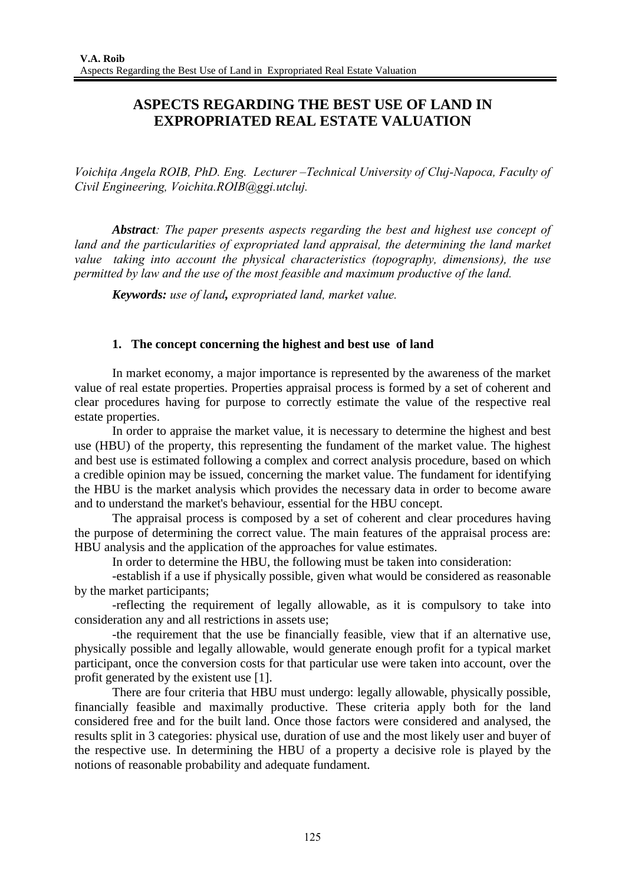# **ASPECTS REGARDING THE BEST USE OF LAND IN EXPROPRIATED REAL ESTATE VALUATION**

*Voichiţa Angela ROIB, PhD. Eng. Lecturer –Technical University of Cluj-Napoca, Faculty of Civil Engineering, Voichita.ROIB@ggi.utcluj.* 

*Abstract: The paper presents aspects regarding the best and highest use concept of*  land and the particularities of expropriated land appraisal, the determining the land market *value taking into account the physical characteristics (topography, dimensions), the use permitted by law and the use of the most feasible and maximum productive of the land.*

*Keywords: use of land, expropriated land, market value.* 

# **1. The concept concerning the highest and best use of land**

In market economy, a major importance is represented by the awareness of the market value of real estate properties. Properties appraisal process is formed by a set of coherent and clear procedures having for purpose to correctly estimate the value of the respective real estate properties.

In order to appraise the market value, it is necessary to determine the highest and best use (HBU) of the property, this representing the fundament of the market value. The highest and best use is estimated following a complex and correct analysis procedure, based on which a credible opinion may be issued, concerning the market value. The fundament for identifying the HBU is the market analysis which provides the necessary data in order to become aware and to understand the market's behaviour, essential for the HBU concept.

The appraisal process is composed by a set of coherent and clear procedures having the purpose of determining the correct value. The main features of the appraisal process are: HBU analysis and the application of the approaches for value estimates.

In order to determine the HBU, the following must be taken into consideration:

-establish if a use if physically possible, given what would be considered as reasonable by the market participants;

-reflecting the requirement of legally allowable, as it is compulsory to take into consideration any and all restrictions in assets use;

-the requirement that the use be financially feasible, view that if an alternative use, physically possible and legally allowable, would generate enough profit for a typical market participant, once the conversion costs for that particular use were taken into account, over the profit generated by the existent use [1].

There are four criteria that HBU must undergo: legally allowable, physically possible, financially feasible and maximally productive. These criteria apply both for the land considered free and for the built land. Once those factors were considered and analysed, the results split in 3 categories: physical use, duration of use and the most likely user and buyer of the respective use. In determining the HBU of a property a decisive role is played by the notions of reasonable probability and adequate fundament.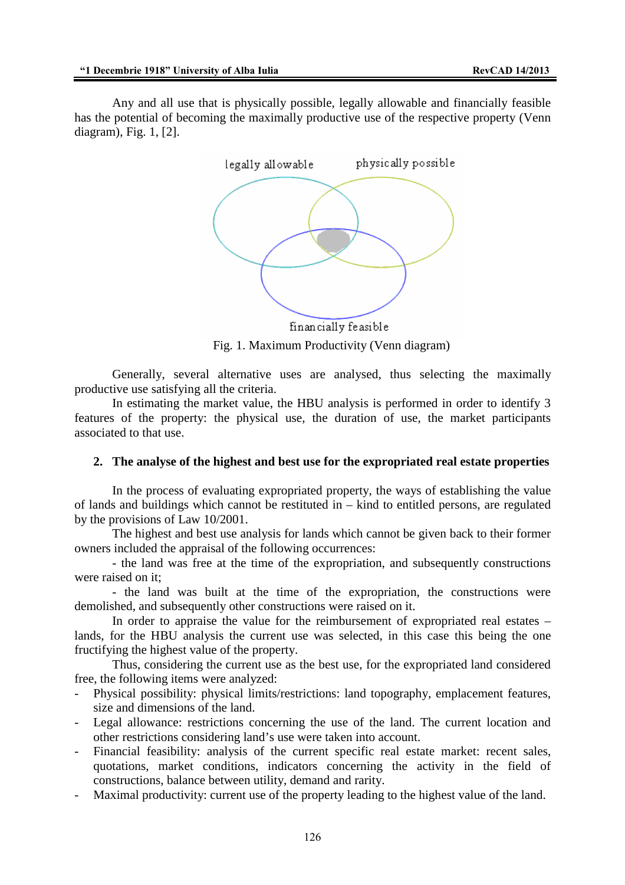Any and all use that is physically possible, legally allowable and financially feasible has the potential of becoming the maximally productive use of the respective property (Venn diagram), Fig. 1, [2].



financially feasible

Fig. 1. Maximum Productivity (Venn diagram)

Generally, several alternative uses are analysed, thus selecting the maximally productive use satisfying all the criteria.

In estimating the market value, the HBU analysis is performed in order to identify 3 features of the property: the physical use, the duration of use, the market participants associated to that use.

# **2. The analyse of the highest and best use for the expropriated real estate properties**

In the process of evaluating expropriated property, the ways of establishing the value of lands and buildings which cannot be restituted in – kind to entitled persons, are regulated by the provisions of Law 10/2001.

The highest and best use analysis for lands which cannot be given back to their former owners included the appraisal of the following occurrences:

- the land was free at the time of the expropriation, and subsequently constructions were raised on it;

- the land was built at the time of the expropriation, the constructions were demolished, and subsequently other constructions were raised on it.

In order to appraise the value for the reimbursement of expropriated real estates – lands, for the HBU analysis the current use was selected, in this case this being the one fructifying the highest value of the property.

Thus, considering the current use as the best use, for the expropriated land considered free, the following items were analyzed:

- Physical possibility: physical limits/restrictions: land topography, emplacement features, size and dimensions of the land.
- Legal allowance: restrictions concerning the use of the land. The current location and other restrictions considering land's use were taken into account.
- Financial feasibility: analysis of the current specific real estate market: recent sales, quotations, market conditions, indicators concerning the activity in the field of constructions, balance between utility, demand and rarity.
- Maximal productivity: current use of the property leading to the highest value of the land.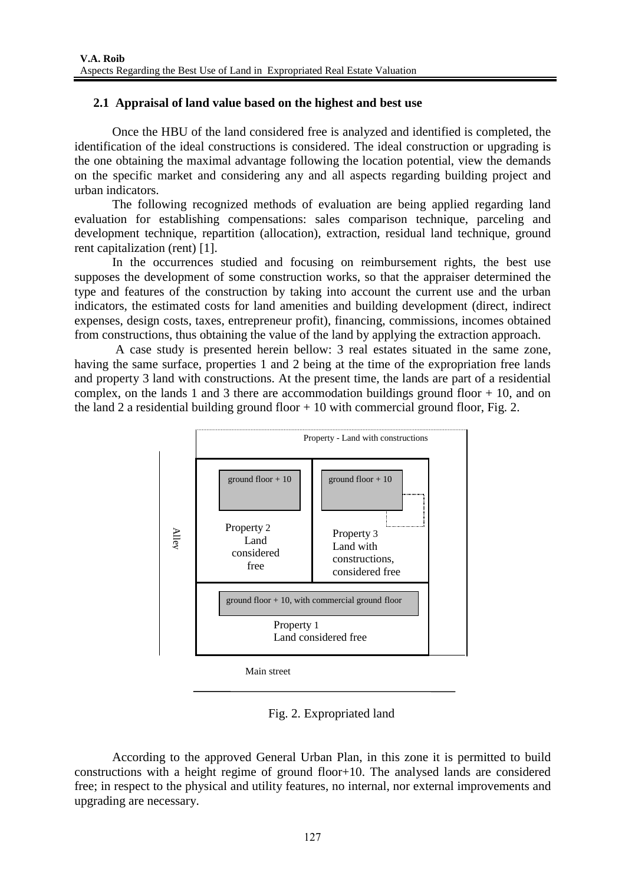# **2.1 Appraisal of land value based on the highest and best use**

Once the HBU of the land considered free is analyzed and identified is completed, the identification of the ideal constructions is considered. The ideal construction or upgrading is the one obtaining the maximal advantage following the location potential, view the demands on the specific market and considering any and all aspects regarding building project and urban indicators.

The following recognized methods of evaluation are being applied regarding land evaluation for establishing compensations: sales comparison technique, parceling and development technique, repartition (allocation), extraction, residual land technique, ground rent capitalization (rent) [1].

In the occurrences studied and focusing on reimbursement rights, the best use supposes the development of some construction works, so that the appraiser determined the type and features of the construction by taking into account the current use and the urban indicators, the estimated costs for land amenities and building development (direct, indirect expenses, design costs, taxes, entrepreneur profit), financing, commissions, incomes obtained from constructions, thus obtaining the value of the land by applying the extraction approach.

 A case study is presented herein bellow: 3 real estates situated in the same zone, having the same surface, properties 1 and 2 being at the time of the expropriation free lands and property 3 land with constructions. At the present time, the lands are part of a residential complex, on the lands 1 and 3 there are accommodation buildings ground floor  $+10$ , and on the land 2 a residential building ground floor  $+10$  with commercial ground floor, Fig. 2.



Fig. 2. Expropriated land

According to the approved General Urban Plan, in this zone it is permitted to build constructions with a height regime of ground floor+10. The analysed lands are considered free; in respect to the physical and utility features, no internal, nor external improvements and upgrading are necessary.